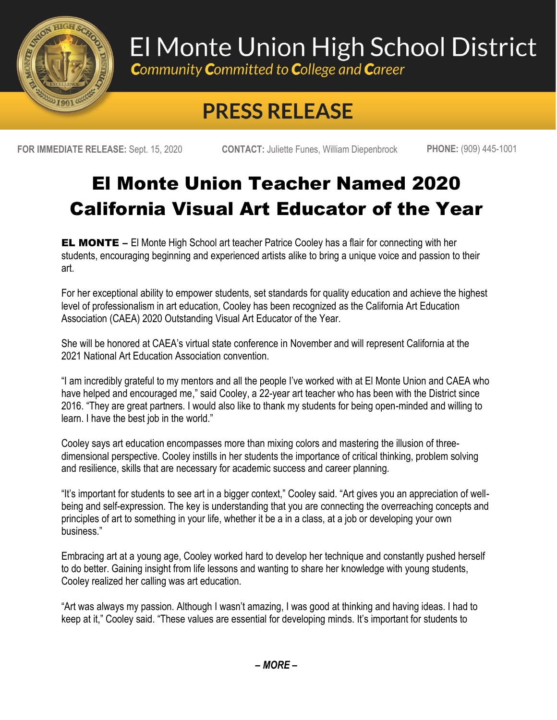

## El Monte Union High School District

**Community Committed to College and Career** 

## **PRESS RELEASE**

**FOR IMMEDIATE RELEASE:** Sept. 15, 2020 **CONTACT:** Juliette Funes, William Diepenbrock **PHONE:** (909) 445-1001

## El Monte Union Teacher Named 2020 California Visual Art Educator of the Year

**EL MONTE** – El Monte High School art teacher Patrice Cooley has a flair for connecting with her students, encouraging beginning and experienced artists alike to bring a unique voice and passion to their art.

For her exceptional ability to empower students, set standards for quality education and achieve the highest level of professionalism in art education, Cooley has been recognized as the California Art Education Association (CAEA) 2020 Outstanding Visual Art Educator of the Year.

She will be honored at CAEA's virtual state conference in November and will represent California at the 2021 National Art Education Association convention.

"I am incredibly grateful to my mentors and all the people I've worked with at El Monte Union and CAEA who have helped and encouraged me," said Cooley, a 22-year art teacher who has been with the District since 2016. "They are great partners. I would also like to thank my students for being open-minded and willing to learn. I have the best job in the world."

Cooley says art education encompasses more than mixing colors and mastering the illusion of threedimensional perspective. Cooley instills in her students the importance of critical thinking, problem solving and resilience, skills that are necessary for academic success and career planning.

"It's important for students to see art in a bigger context," Cooley said. "Art gives you an appreciation of wellbeing and self-expression. The key is understanding that you are connecting the overreaching concepts and principles of art to something in your life, whether it be a in a class, at a job or developing your own business."

Embracing art at a young age, Cooley worked hard to develop her technique and constantly pushed herself to do better. Gaining insight from life lessons and wanting to share her knowledge with young students, Cooley realized her calling was art education.

"Art was always my passion. Although I wasn't amazing, I was good at thinking and having ideas. I had to keep at it," Cooley said. "These values are essential for developing minds. It's important for students to